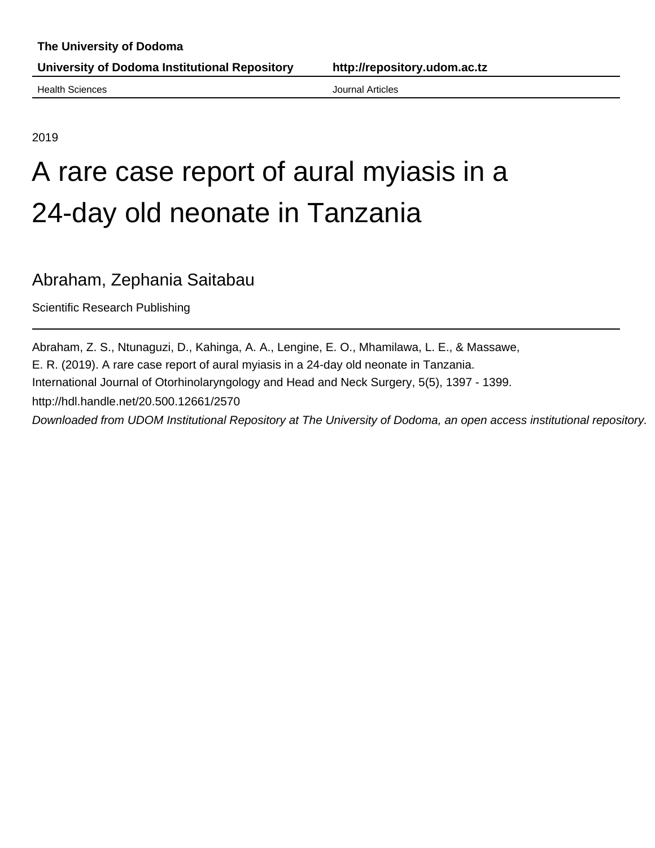**University of Dodoma Institutional Repository http://repository.udom.ac.tz**

**Health Sciences Health Sciences Journal Articles** 

2019

# A rare case report of aural myiasis in a 24-day old neonate in Tanzania

## Abraham, Zephania Saitabau

Scientific Research Publishing

Abraham, Z. S., Ntunaguzi, D., Kahinga, A. A., Lengine, E. O., Mhamilawa, L. E., & Massawe, E. R. (2019). A rare case report of aural myiasis in a 24-day old neonate in Tanzania. International Journal of Otorhinolaryngology and Head and Neck Surgery, 5(5), 1397 - 1399. http://hdl.handle.net/20.500.12661/2570 Downloaded from UDOM Institutional Repository at The University of Dodoma, an open access institutional repository.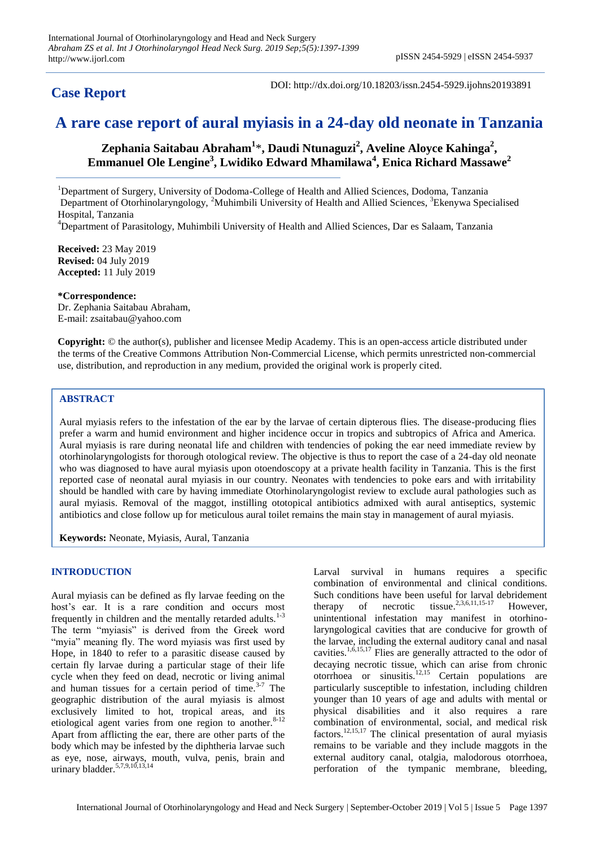### **Case Report**

DOI: http://dx.doi.org/10.18203/issn.2454-5929.ijohns20193891

## **A rare case report of aural myiasis in a 24-day old neonate in Tanzania**

**Zephania Saitabau Abraham<sup>1</sup>** \***, Daudi Ntunaguzi<sup>2</sup> , Aveline Aloyce Kahinga<sup>2</sup> , Emmanuel Ole Lengine<sup>3</sup> , Lwidiko Edward Mhamilawa<sup>4</sup> , Enica Richard Massawe<sup>2</sup>**

<sup>1</sup>Department of Surgery, University of Dodoma-College of Health and Allied Sciences, Dodoma, Tanzania Department of Otorhinolaryngology, <sup>2</sup>Muhimbili University of Health and Allied Sciences, <sup>3</sup>Ekenywa Specialised Hospital, Tanzania

<sup>4</sup>Department of Parasitology, Muhimbili University of Health and Allied Sciences, Dar es Salaam, Tanzania

**Received:** 23 May 2019 **Revised:** 04 July 2019 **Accepted:** 11 July 2019

**\*Correspondence:** Dr. Zephania Saitabau Abraham, E-mail: zsaitabau@yahoo.com

**Copyright:** © the author(s), publisher and licensee Medip Academy. This is an open-access article distributed under the terms of the Creative Commons Attribution Non-Commercial License, which permits unrestricted non-commercial use, distribution, and reproduction in any medium, provided the original work is properly cited.

#### **ABSTRACT**

Aural myiasis refers to the infestation of the ear by the larvae of certain dipterous flies. The disease-producing flies prefer a warm and humid environment and higher incidence occur in tropics and subtropics of Africa and America. Aural myiasis is rare during neonatal life and children with tendencies of poking the ear need immediate review by otorhinolaryngologists for thorough otological review. The objective is thus to report the case of a 24-day old neonate who was diagnosed to have aural myiasis upon otoendoscopy at a private health facility in Tanzania. This is the first reported case of neonatal aural myiasis in our country. Neonates with tendencies to poke ears and with irritability should be handled with care by having immediate Otorhinolaryngologist review to exclude aural pathologies such as aural myiasis. Removal of the maggot, instilling ototopical antibiotics admixed with aural antiseptics, systemic antibiotics and close follow up for meticulous aural toilet remains the main stay in management of aural myiasis.

**Keywords:** Neonate, Myiasis, Aural, Tanzania

#### **INTRODUCTION**

Aural myiasis can be defined as fly larvae feeding on the host's ear. It is a rare condition and occurs most frequently in children and the mentally retarded adults. $1-3$ The term "myiasis" is derived from the Greek word "myia" meaning fly. The word myiasis was first used by Hope, in 1840 to refer to a parasitic disease caused by certain fly larvae during a particular stage of their life cycle when they feed on dead, necrotic or living animal and human tissues for a certain period of time. $3-7$  The geographic distribution of the aural myiasis is almost exclusively limited to hot, tropical areas, and its etiological agent varies from one region to another.<sup>8-12</sup> Apart from afflicting the ear, there are other parts of the body which may be infested by the diphtheria larvae such as eye, nose, airways, mouth, vulva, penis, brain and urinary bladder.<sup>5,7,9,10,13,14</sup>

Larval survival in humans requires a specific combination of environmental and clinical conditions. Such conditions have been useful for larval debridement therapy of necrotic tissue.<sup>2,3,6,11,15-17</sup> However. unintentional infestation may manifest in otorhinolaryngological cavities that are conducive for growth of the larvae, including the external auditory canal and nasal cavities.<sup>1,6,15,17</sup> Flies are generally attracted to the odor of decaying necrotic tissue, which can arise from chronic otorrhoea or sinusitis.<sup>12,15</sup> Certain populations are particularly susceptible to infestation, including children younger than 10 years of age and adults with mental or physical disabilities and it also requires a rare combination of environmental, social, and medical risk factors.12,15,17 The clinical presentation of aural myiasis remains to be variable and they include maggots in the external auditory canal, otalgia, malodorous otorrhoea, perforation of the tympanic membrane, bleeding,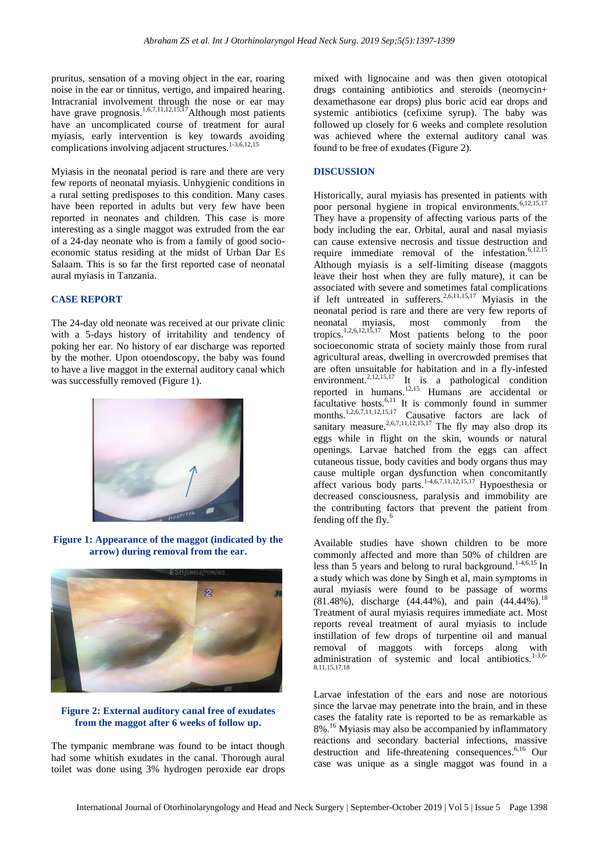pruritus, sensation of a moving object in the ear, roaring noise in the ear or tinnitus, vertigo, and impaired hearing. Intracranial involvement through the nose or ear may have grave prognosis.<sup>1,6,7,11,12,15,17</sup>Although most patients have an uncomplicated course of treatment for aural myiasis, early intervention is key towards avoiding complications involving adjacent structures.<sup>1-3,6,12,15</sup>

Myiasis in the neonatal period is rare and there are very few reports of neonatal myiasis. Unhygienic conditions in a rural setting predisposes to this condition. Many cases have been reported in adults but very few have been reported in neonates and children. This case is more interesting as a single maggot was extruded from the ear of a 24-day neonate who is from a family of good socioeconomic status residing at the midst of Urban Dar Es Salaam. This is so far the first reported case of neonatal aural myiasis in Tanzania.

#### **CASE REPORT**

The 24-day old neonate was received at our private clinic with a 5-days history of irritability and tendency of poking her ear. No history of ear discharge was reported by the mother. Upon otoendoscopy, the baby was found to have a live maggot in the external auditory canal which was successfully removed (Figure 1).



**Figure 1: Appearance of the maggot (indicated by the arrow) during removal from the ear.**



#### **Figure 2: External auditory canal free of exudates from the maggot after 6 weeks of follow up.**

The tympanic membrane was found to be intact though had some whitish exudates in the canal. Thorough aural toilet was done using 3% hydrogen peroxide ear drops

mixed with lignocaine and was then given ototopical drugs containing antibiotics and steroids (neomycin+ dexamethasone ear drops) plus boric acid ear drops and systemic antibiotics (cefixime syrup). The baby was followed up closely for 6 weeks and complete resolution was achieved where the external auditory canal was found to be free of exudates (Figure 2).

#### **DISCUSSION**

Historically, aural myiasis has presented in patients with poor personal hygiene in tropical environments.<sup>6,12,15,17</sup> They have a propensity of affecting various parts of the body including the ear. Orbital, aural and nasal myiasis can cause extensive necrosis and tissue destruction and require immediate removal of the infestation.<sup>6,12,15</sup> Although myiasis is a self-limiting disease (maggots leave their host when they are fully mature), it can be associated with severe and sometimes fatal complications if left untreated in sufferers.<sup>2,6,11,15,17</sup> Myiasis in the neonatal period is rare and there are very few reports of neonatal myiasis, most commonly from the tropics.1,2,6,12,15,17 Most patients belong to the poor socioeconomic strata of society mainly those from rural agricultural areas, dwelling in overcrowded premises that are often unsuitable for habitation and in a fly-infested environment.<sup>2,12,15,17</sup> It is a pathological condition reported in humans.12,15 Humans are accidental or facultative hosts. $6,11$  It is commonly found in summer months.<sup>1,2,6,7,11,12,15,17</sup> Causative factors are lack of sanitary measure.<sup>2,6,7,11,12,15,17</sup> The fly may also drop its eggs while in flight on the skin, wounds or natural openings. Larvae hatched from the eggs can affect cutaneous tissue, body cavities and body organs thus may cause multiple organ dysfunction when concomitantly affect various body parts.<sup>1-4,6,7,11,12,15,17</sup> Hypoesthesia or decreased consciousness, paralysis and immobility are the contributing factors that prevent the patient from fending off the fly.<sup>6</sup>

Available studies have shown children to be more commonly affected and more than 50% of children are less than 5 years and belong to rural background.<sup>1-4,6,15</sup> In a study which was done by Singh et al, main symptoms in aural myiasis were found to be passage of worms  $(81.48\%)$ , discharge  $(44.44\%)$ , and pain  $(44.44\%)$ .<sup>18</sup> Treatment of aural myiasis requires immediate act. Most reports reveal treatment of aural myiasis to include instillation of few drops of turpentine oil and manual removal of maggots with forceps along with administration of systemic and local antibiotics. $1-3,6-$ 8,11,15,17,18

Larvae infestation of the ears and nose are notorious since the larvae may penetrate into the brain, and in these cases the fatality rate is reported to be as remarkable as 8%.<sup>16</sup> Myiasis may also be accompanied by inflammatory reactions and secondary bacterial infections, massive destruction and life-threatening consequences.<sup>6,16</sup> Our case was unique as a single maggot was found in a